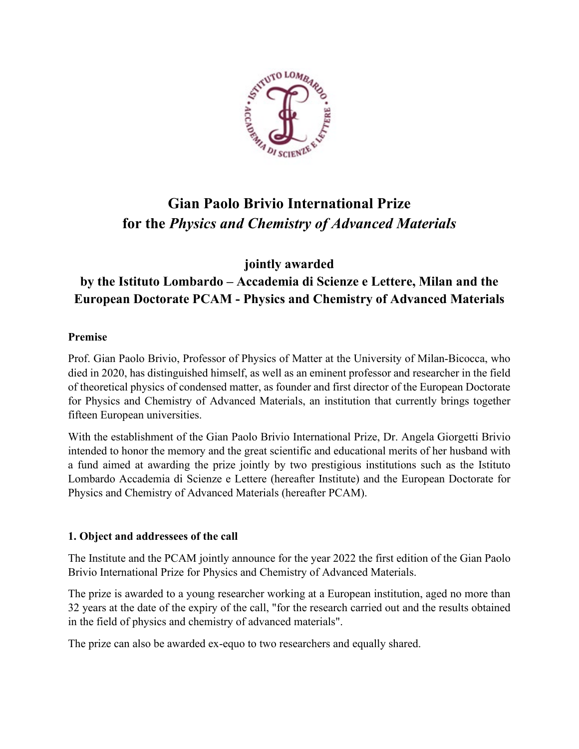

# **Gian Paolo Brivio International Prize for the** *Physics and Chemistry of Advanced Materials*

**jointly awarded**

# **by the Istituto Lombardo – Accademia di Scienze e Lettere, Milan and the European Doctorate PCAM - Physics and Chemistry of Advanced Materials**

# **Premise**

Prof. Gian Paolo Brivio, Professor of Physics of Matter at the University of Milan-Bicocca, who died in 2020, has distinguished himself, as well as an eminent professor and researcher in the field of theoretical physics of condensed matter, as founder and first director of the European Doctorate for Physics and Chemistry of Advanced Materials, an institution that currently brings together fifteen European universities.

With the establishment of the Gian Paolo Brivio International Prize, Dr. Angela Giorgetti Brivio intended to honor the memory and the great scientific and educational merits of her husband with a fund aimed at awarding the prize jointly by two prestigious institutions such as the Istituto Lombardo Accademia di Scienze e Lettere (hereafter Institute) and the European Doctorate for Physics and Chemistry of Advanced Materials (hereafter PCAM).

#### **1. Object and addressees of the call**

The Institute and the PCAM jointly announce for the year 2022 the first edition of the Gian Paolo Brivio International Prize for Physics and Chemistry of Advanced Materials.

The prize is awarded to a young researcher working at a European institution, aged no more than 32 years at the date of the expiry of the call, "for the research carried out and the results obtained in the field of physics and chemistry of advanced materials".

The prize can also be awarded ex-equo to two researchers and equally shared.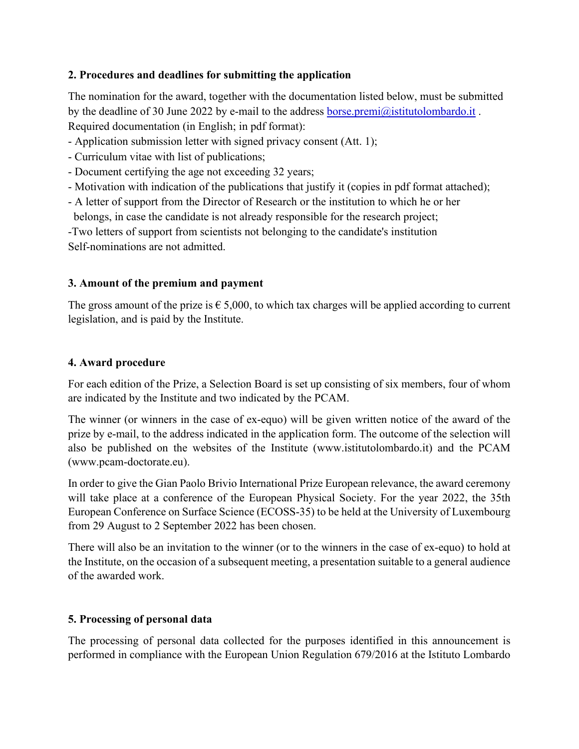#### **2. Procedures and deadlines for submitting the application**

The nomination for the award, together with the documentation listed below, must be submitted by the deadline of 30 June 2022 by e-mail to the address borse.premi@istitutolombardo.it. Required documentation (in English; in pdf format):

- Application submission letter with signed privacy consent (Att. 1);
- Curriculum vitae with list of publications;
- Document certifying the age not exceeding 32 years;
- Motivation with indication of the publications that justify it (copies in pdf format attached);
- A letter of support from the Director of Research or the institution to which he or her
- belongs, in case the candidate is not already responsible for the research project;

-Two letters of support from scientists not belonging to the candidate's institution Self-nominations are not admitted.

# **3. Amount of the premium and payment**

The gross amount of the prize is  $\epsilon$  5,000, to which tax charges will be applied according to current legislation, and is paid by the Institute.

# **4. Award procedure**

For each edition of the Prize, a Selection Board is set up consisting of six members, four of whom are indicated by the Institute and two indicated by the PCAM.

The winner (or winners in the case of ex-equo) will be given written notice of the award of the prize by e-mail, to the address indicated in the application form. The outcome of the selection will also be published on the websites of the Institute (www.istitutolombardo.it) and the PCAM (www.pcam-doctorate.eu).

In order to give the Gian Paolo Brivio International Prize European relevance, the award ceremony will take place at a conference of the European Physical Society. For the year 2022, the 35th European Conference on Surface Science (ECOSS-35) to be held at the University of Luxembourg from 29 August to 2 September 2022 has been chosen.

There will also be an invitation to the winner (or to the winners in the case of ex-equo) to hold at the Institute, on the occasion of a subsequent meeting, a presentation suitable to a general audience of the awarded work.

# **5. Processing of personal data**

The processing of personal data collected for the purposes identified in this announcement is performed in compliance with the European Union Regulation 679/2016 at the Istituto Lombardo